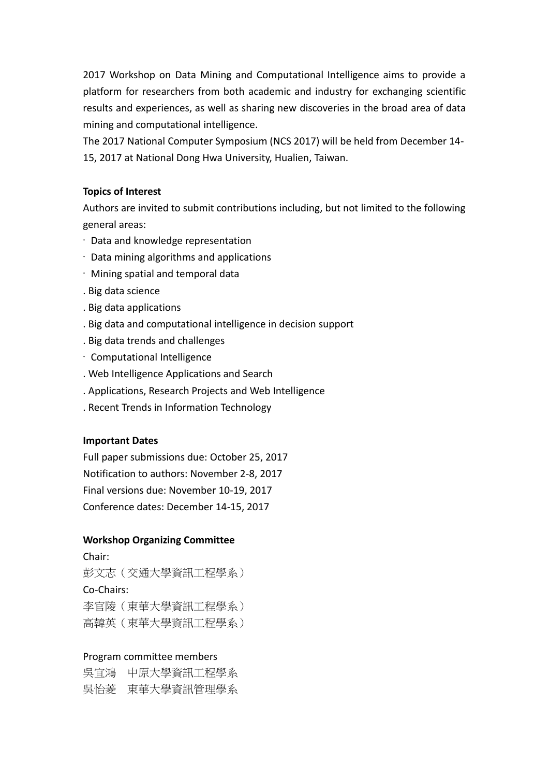2017 Workshop on Data Mining and Computational Intelligence aims to provide a platform for researchers from both academic and industry for exchanging scientific results and experiences, as well as sharing new discoveries in the broad area of data mining and computational intelligence.

The 2017 National Computer Symposium (NCS 2017) will be held from December 14- 15, 2017 at National Dong Hwa University, Hualien, Taiwan.

## **Topics of Interest**

Authors are invited to submit contributions including, but not limited to the following general areas:

- · Data and knowledge representation
- · Data mining algorithms and applications
- · Mining spatial and temporal data
- . Big data science
- . Big data applications
- . Big data and computational intelligence in decision support
- . Big data trends and challenges
- · Computational Intelligence
- . Web Intelligence Applications and Search
- . Applications, Research Projects and Web Intelligence
- . Recent Trends in Information Technology

## **Important Dates**

Full paper submissions due: October 25, 2017 Notification to authors: November 2-8, 2017 Final versions due: November 10-19, 2017 Conference dates: December 14-15, 2017

## **Workshop Organizing Committee**

Chair: 彭文志(交通大學資訊工程學系) Co-Chairs: 李官陵(東華大學資訊工程學系) 高韓英(東華大學資訊工程學系)

## Program committee members

吳宜鴻 中原大學資訊工程學系 吳怡菱 東華大學資訊管理學系